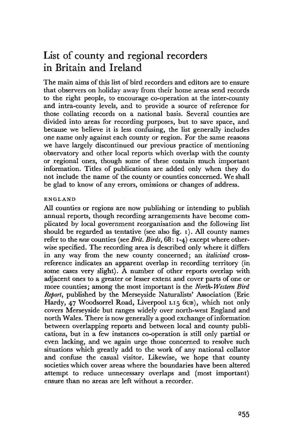# List of county and regional recorders in Britain and Ireland

The main aims of this list of bird recorders and editors are to ensure that observers on holiday away from their home areas send records to the right people, to encourage co-operation at the inter-county and intra-county levels, and to provide a source of reference for those collating records on a national basis. Several counties are divided into areas for recording purposes, but to save space, and because we believe it is less confusing, the list generally includes one name only against each county or region. For the same reasons we have largely discontinued our previous practice of mentioning observatory and other local reports which overlap with the county or regional ones, though some of these contain much important information. Titles of publications are added only when they do not include the name of the county or counties concerned. We shall be glad to know of any errors, omissions or changes of address.

## ENGLAND

All counties or regions are now publishing or intending to publish annual reports, though recording arrangements have become complicated by local government reorganisation and the following list should be regarded as tentative (see also fig. i). All county names refer to the *new* counties (see *Brit. Birds,* 68: 1-4) except where otherwise specified. The recording area is described only where it differs in any way from the new county concerned; an *italicised* crossreference indicates an apparent overlap in recording territory (in some cases very slight). A number of other reports overlap with adjacent ones to a greater or lesser extent and cover parts of one or more counties; among the most important is the *North-Western Bird Report,* published by the Merseyside Naturalists' Association (Eric Hardy, 47 Woodsorrel Road, Liverpool L15 6UB), which not only covers Merseyside but ranges widely over north-west England and north Wales. There is now generally a good exchange of information between overlapping reports and between local and county publications, but in a few instances co-operation is still only partial or even lacking, and we again urge those concerned to resolve such situations which greatly add to the work of any national collator and confuse the casual visitor. Likewise, we hope that county societies which cover areas where the boundaries have been altered attempt to reduce unnecessary overlaps and (most important) ensure than no areas are left without a recorder.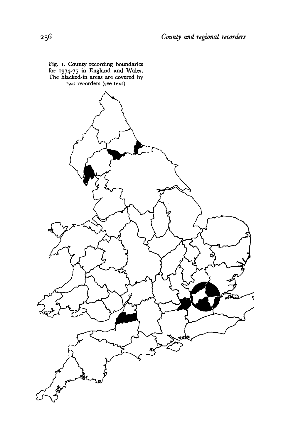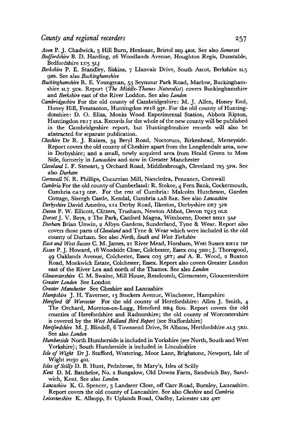*Avon* P. J. Chadwick, 3 Hill Burn, Henleaze, Bristol Bsg 4RH. See also *Somerset* 

- *Bedfordshire* B. D. Harding, 26 Woodlands Avenue, Houghton Regis, Dunstable, Bedfordshire LU5 5LJ
- *Berkshire* P. E. Standley, Siskins, 7 Llanvair Drive, South Ascot, Berkshire si.5 gHS. See also *Buckinghamshire*
- *Buckinghamshire* R. E. Youngman, 53 Seymour Park Road, Marlow, Buckinghamshire SL7 3ER. Report *(The Middle-Thames Naturalist)* covers Buckinghamshire and *Berkshire* east of the River Loddon. See also *London*
- *Cambridgeshire* For the old county of Cambridgeshire: M. J. Allen, Honey End, Honey Hill, Fenstanton, Huntingdon PEI8 9JP. For the old county of Huntingdonshire: D. O. Elias, Monks Wood Experimental Station, Abbots Ripton, Huntingdon PEI 7 2LS. Records for the whole of the new county will be published in the Cambridgeshire report, but Huntingdonshire records will also be abstracted for separate publication.
- *Cheshire* Dr R. J. Raines, 34 Beryl Road, Noctorum, Birkenhead, Merseyside. Report covers the old county of Cheshire apart from the Longdendale area, now in Derbyshire; and a small, newly acquired area from Heald Green to Moss Side, formerly in *Lancashire* and now in Greater Manchester
- *Cleveland* I. F. Stewart, 3 Orchard Road, Middlesbrough, Cleveland TS5 5PN. See also *Durham*

*Cornwall* N. R. Phillips, Cucurrian Mill, Nancledra, Penzance, Cornwall

- *Cumbria* For the old county of Cumberland: R. Stokoe, 4 Fern Bank, Cockermouth, Cumbria CA13 ODF. For the rest of Cumbria: Malcolm Hutcheson, Garden Cottage, Sizergh Castle, Kendal, Cumbria LA8 8AE. See also *Lancashire*
- *Derbyshire* David Amedro, 212 Derby Road, Ilkeston, Derbyshire DE7 5FB
- *Devon* P. W. Ellicott, Clitters, Trusham, Newton Abbot, Devon TQ13 OLX
- *Dorset* J. V. Boys, 2 The Park, Canford Magna, Wimborne, Dorset BH21 3AF
- *Durham* Brian Unwin, 2 Albyn Gardens, Sunderland, Tyne & Wear. Report also covers those parts of *Cleveland* and Tyne & Wear which were included in the old county of Durham. See also *North, South and West Yorkshire*

East and West Sussex C. M. James, 21 River Mead, Horsham, West Sussex RH12 ISP

*Essex* P. J. Howard, 18 Woodside Close, Colchester, Essex C04 3HD; J. Thorogood, 49 Oaklands Avenue, Colchester, Essex C03 5ET; *and* A. R. Wood, 2 Buxton Road, Monkwick Estate, Colchester, Essex. Report also covers Greater London east of the River Lea and north of the Thames. See also *London* 

*Gloucestershire* C. M. Swaine, Mill House, Rendcomb, Cirencester, Gloucestershire *Greater London* See London

- *Greater Manchester* See Cheshire and Lancashire
- Hampshire J. H. Taverner, 13 Stockers Avenue, Winchester, Hampshire
- *Hereford & Worcester* For the old county of Herefordshire: Allen J. Smith, 4 The Orchard, Moreton-on-Lugg, Hereford HR4 8DG. Report covers the old counties of Herefordshire and Radnorshire; the old county of Worcestershire is covered by the *West Midland Bird Report* (see Staffordshire)
- *Hertfordshire* M. J. Blindell, 6 Townsend Drive, St Albans, Hertfordshire AL3 5RD. See also *London*
- *Humberside* North Humberside is included in Yorkshire (see North, South and West Yorkshire); South Humberside is included in Lincolnshire
- *Isle of Wight* Dr J. Stafford, Westering, Moor Lane, Brighstone, Newport, Isle of Wight P030 4DL
- *Isles of Scilly* D. B. Hunt, Pednbrose, St Mary's, Isles of Scilly
- *Kent* D. M. Batchelor, No. 2 Bungalow, Old Downs Farm, Sandwich Bay, Sandwich, Kent. See also *London*
- *Lancashire* K. G. Spencer, 3 Landseer Close, off Carr Road, Burnley, Lancashire. Report covers the old county of Lancashire. See also *Cheshire* and *Cumbria*
- *Leicestershire* K. Allsopp, 81 Uplands Road, Oadby, Leicester LE2 4NT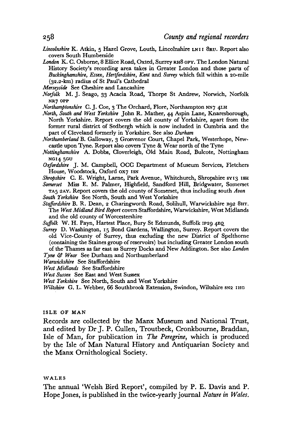- *Lincolnshire* K. Atkin, 5 Hazel Grove, Louth, Lincolnshire LNII 8RU. Report also covers South Humberside
- *London* K. C. Osborne, 8 Ellice Road, Oxted, Surrey RH8 OPY. The London Natural History Society's recording area takes in Greater London and those parts of *Buckinghamshire, Essex, Hertfordshire, Kent* and *Surrey* which fall within a 20-mile (32.2-km) radius of St Paul's Cathedral
- *Merseyside* See Cheshire and Lancashire
- *Norfolk* M. J. Seago, 33 Acacia Road, Thorpe St Andrew, Norwich, Norfolk **NR7 OPP**
- *Northamptonshire* C. J. Coe, 3 The Orchard, Flore, Northampton NN7 4LH
- *North, South and West Torkshire* John R. Mather, 44 Aspin Lane, Knaresborough, North Yorkshire. Report covers the old county of Yorkshire, apart from the former rural district of Sedbergh which is now included in Cumbria and the part of Cleveland formerly in Yorkshire. See also *Durham*
- *Northumberland* B. Galloway, 3 Grosvenor Court, Chapel Park, Westerhope, Newcastle upon Tyne. Report also covers Tyne & Wear north of the Tyne
- *Nottinghamshire* A. Dobbs, Cloverleigh, Old Main Road, Bulcote, Nottingham **NG14 5GU**
- *Oxfordshire* J. M. Campbell, OCC Department of Museum Services, Fletchers House, Woodstock, Oxford 0x7 ISN
- Shropshire C. E. Wright, Larne, Park Avenue, Whitchurch, Shropshire SY13 ISH
- *Somerset* Miss E. M. Palmer, Highfield, Sandford Hill, Bridgwater, Somerset TA5 2AY. Report covers the old county of Somerset, thus including south *Avon South Torkshire* See North, South and West Yorkshire
- *Staffordshire* B. R. Dean, 2 Charingworth Road, Solihull, Warwickshire B92 8HT. The *West Midland Bird Report* covers Staffordshire, Warwickshire, West Midlands and the old county of Worcestershire
- *Suffolk* W. H. Payn, Hartest Place, Bury St Edmunds, Suffolk IP29 4E0,
- *Surrey* D. Washington, 15 Bond Gardens, Wallington, Surrey. Report covers the old Vice-County of Surrey, thus excluding the new District of Spelthorne (containing the Staines group of reservoirs) but including Greater London south of the Thames as far east as Surrey Docks and New Addington. See also *London*
- *Tyne & Wear* See Durham and Northumberland
- *Warwickshire* See Staffordshire
- *West Midlands* See Staffordshire
- *West Sussex* See East and West Sussex
- *West Torkshire* See North, South and West Yorkshire
- *Wiltshire* G. L. Webber, 66 Southbrook Extension, Swindon, Wiltshire SN2 IHG

#### **ISLE OF MAN**

Records are collected by the Manx Museum and National Trust, and edited by Dr J. P. Gullen, Troutbeck, Cronkbourne, Braddan, Isle of Man, for publication in *The Peregrine,* which is produced by the Isle of Man Natural History and Antiquarian Society and the Manx Ornithological Society.

#### **WALES**

The annual 'Welsh Bird Report', compiled by P. E. Davis and P. Hope Jones, is published in the twice-yearly journal *Nature in Wales.*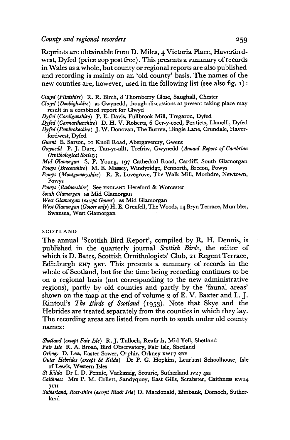Reprints are obtainable from D. Miles, 4 Victoria Place, Haverfordwest, Dyfed (price 2op post free). This presents a summary of records in Wales as a whole, but county or regional reports are also published and recording is mainly on an 'old county' basis. The names of the new counties are, however, used in the following list (see also fig. 1):

*Clwyd (Flintshire)* R. R. Birch, 8 Thornberry Close, Saughall, Chester

- *Clwyd (Denbighshire)* as Gwynedd, though discussions at present taking place may result in a combined report for Clwyd
- *Dyfed (Cardiganshire)* P. E. Davis, Fullbrook Mill, Tregaron, Dyfed
- *Dyfed (Carmarthenshire)* D. H. V. Roberts, 6 Ger-y-coed, Pontiets, Llanelli, Dyfed
- *Dyfed (Pembrokeshire)* J. W. Donovan, The Burren, Dingle Lane, Crundale, Haverfordwest, Dyfed
- *Gwent* E. Sarson, 10 Knoll Road, Abergavenny, Gwent
- *Gwynedd* P. J. Dare, Tan-yr-allt, Trefriw, Gwynedd *(Annual Report of Cambrian Ornithological Society)*

*Mid Glamorgan* S. F. Young, 197 Cathedral Road, Cardiff, South Glamorgan *Powys (Breconshire)* M. E. Massey, Windyridge, Pennorth, Brecon, Powys

- *Powys (Montgomeryshire)* R. R. Lovegrove, The Walk Mill, Mochdre, Newtown, Powys
- *Powys (Radnorshire)* See ENGLAND Hereford & Worcester
- *South Glamorgan* as Mid Glamorgan
- *West Glamorgan (except Gower)* as Mid Glamorgan
- *West Glamorgan (Gower only)* H. E. Grenfell, The Woods, 14 Bryn Terrace, Mumbles, Swansea, West Glamorgan

#### **SCOTLAND**

The annual 'Scottish Bird Report', compiled by R. H. Dennis, is published in the quarterly journal *Scottish Birds,* the editor of which is D. Bates, Scottish Ornithologists' Club, 21 Regent Terrace, Edinburgh EH7 5BT. This presents a summary of records in the whole of Scotland, but for the time being recording continues to be on a regional basis (not corresponding to the new administrative regions), partly by old counties and partly by the 'faunal areas' shown on the map at the end of volume 2 of E. V. Baxter and L. J. Rintoul's *The Birds of Scotland* (1953). Note that Skye and the Hebrides are treated separately from the counties in which they lay. The recording areas are listed from north to south under old county names:

*Shetland (except Fair Isle)* R. J. Tulloch, Reafirth, Mid Yell, Shetland

*Fair Isle* R. A. Broad, Bird Observatory, Fair Isle, Shetland

*Orkney* D. Lea, Easter Sower, Orphir, Orkney KW17 2RE

*Outer Hebrides (except St Kilda)* Dr P. G. Hopkins, Leurbost Schoolhouse, Isle of Lewis, Western Isles

*St Kilda* Dr I. D. Pennie, Varkasaig, Scourie, Sutherland IV27 4SZ

- *Caithness* Mrs P. M. Collett, Sandyquoy, East Gills, Scrabster, Caithness KW14 **7UH**
- *Sutherland, Ross-shire (except Black Isle)* D. Macdonald, Elmbank, Dornoch, Sutherland